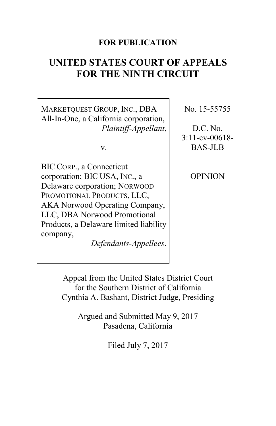### **FOR PUBLICATION**

# **UNITED STATES COURT OF APPEALS FOR THE NINTH CIRCUIT**

MARKETQUEST GROUP, INC., DBA All-In-One, a California corporation, *Plaintiff-Appellant*,

v.

BIC CORP., a Connecticut corporation; BIC USA, INC., a Delaware corporation; NORWOOD PROMOTIONAL PRODUCTS, LLC, AKA Norwood Operating Company, LLC, DBA Norwood Promotional Products, a Delaware limited liability company,

*Defendants-Appellees*.

No. 15-55755

D.C. No. 3:11-cv-00618- BAS-JLB

OPINION

Appeal from the United States District Court for the Southern District of California Cynthia A. Bashant, District Judge, Presiding

> Argued and Submitted May 9, 2017 Pasadena, California

> > Filed July 7, 2017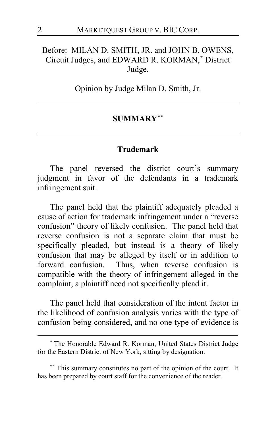### Before: MILAN D. SMITH, JR. and JOHN B. OWENS, Circuit Judges, and EDWARD R. KORMAN,**[\\*](#page-1-0)** District Judge.

Opinion by Judge Milan D. Smith, Jr.

#### **SUMMARY[\\*\\*](#page-1-1)**

#### **Trademark**

The panel reversed the district court's summary judgment in favor of the defendants in a trademark infringement suit.

The panel held that the plaintiff adequately pleaded a cause of action for trademark infringement under a "reverse confusion" theory of likely confusion. The panel held that reverse confusion is not a separate claim that must be specifically pleaded, but instead is a theory of likely confusion that may be alleged by itself or in addition to forward confusion. Thus, when reverse confusion is compatible with the theory of infringement alleged in the complaint, a plaintiff need not specifically plead it.

The panel held that consideration of the intent factor in the likelihood of confusion analysis varies with the type of confusion being considered, and no one type of evidence is

 $\overline{a}$ 

<span id="page-1-0"></span>**<sup>\*</sup>** The Honorable Edward R. Korman, United States District Judge for the Eastern District of New York, sitting by designation.

<span id="page-1-1"></span>**<sup>\*\*</sup>** This summary constitutes no part of the opinion of the court. It has been prepared by court staff for the convenience of the reader.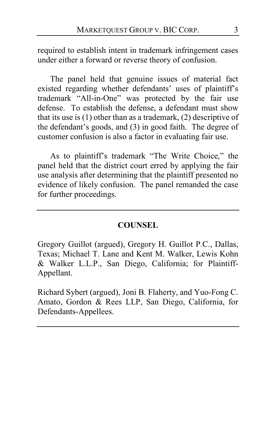required to establish intent in trademark infringement cases under either a forward or reverse theory of confusion.

The panel held that genuine issues of material fact existed regarding whether defendants' uses of plaintiff's trademark "All-in-One" was protected by the fair use defense. To establish the defense, a defendant must show that its use is (1) other than as a trademark, (2) descriptive of the defendant's goods, and (3) in good faith. The degree of customer confusion is also a factor in evaluating fair use.

As to plaintiff's trademark "The Write Choice," the panel held that the district court erred by applying the fair use analysis after determining that the plaintiff presented no evidence of likely confusion. The panel remanded the case for further proceedings.

#### **COUNSEL**

Gregory Guillot (argued), Gregory H. Guillot P.C., Dallas, Texas; Michael T. Lane and Kent M. Walker, Lewis Kohn & Walker L.L.P., San Diego, California; for Plaintiff-Appellant.

Richard Sybert (argued), Joni B. Flaherty, and Yuo-Fong C. Amato, Gordon & Rees LLP, San Diego, California, for Defendants-Appellees.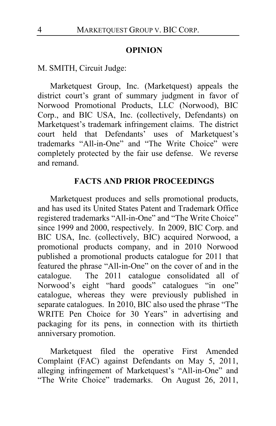#### **OPINION**

M. SMITH, Circuit Judge:

Marketquest Group, Inc. (Marketquest) appeals the district court's grant of summary judgment in favor of Norwood Promotional Products, LLC (Norwood), BIC Corp., and BIC USA, Inc. (collectively, Defendants) on Marketquest's trademark infringement claims. The district court held that Defendants' uses of Marketquest's trademarks "All-in-One" and "The Write Choice" were completely protected by the fair use defense. We reverse and remand.

#### **FACTS AND PRIOR PROCEEDINGS**

Marketquest produces and sells promotional products, and has used its United States Patent and Trademark Office registered trademarks "All-in-One" and "The Write Choice" since 1999 and 2000, respectively. In 2009, BIC Corp. and BIC USA, Inc. (collectively, BIC) acquired Norwood, a promotional products company, and in 2010 Norwood published a promotional products catalogue for 2011 that featured the phrase "All-in-One" on the cover of and in the catalogue. The 2011 catalogue consolidated all of Norwood's eight "hard goods" catalogues "in one" catalogue, whereas they were previously published in separate catalogues. In 2010, BIC also used the phrase "The WRITE Pen Choice for 30 Years" in advertising and packaging for its pens, in connection with its thirtieth anniversary promotion.

Marketquest filed the operative First Amended Complaint (FAC) against Defendants on May 5, 2011, alleging infringement of Marketquest's "All-in-One" and "The Write Choice" trademarks. On August 26, 2011,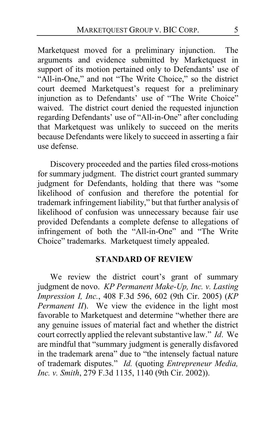Marketquest moved for a preliminary injunction. The arguments and evidence submitted by Marketquest in support of its motion pertained only to Defendants' use of "All-in-One," and not "The Write Choice," so the district court deemed Marketquest's request for a preliminary injunction as to Defendants' use of "The Write Choice" waived.The district court denied the requested injunction regarding Defendants' use of "All-in-One" after concluding that Marketquest was unlikely to succeed on the merits because Defendants were likely to succeed in asserting a fair use defense.

Discovery proceeded and the parties filed cross-motions for summary judgment. The district court granted summary judgment for Defendants, holding that there was "some likelihood of confusion and therefore the potential for trademark infringement liability," but that further analysis of likelihood of confusion was unnecessary because fair use provided Defendants a complete defense to allegations of infringement of both the "All-in-One" and "The Write Choice" trademarks. Marketquest timely appealed.

# **STANDARD OF REVIEW**

We review the district court's grant of summary judgment de novo. *KP Permanent Make-Up, Inc. v. Lasting Impression I, Inc.*, 408 F.3d 596, 602 (9th Cir. 2005) (*KP Permanent II*). We view the evidence in the light most favorable to Marketquest and determine "whether there are any genuine issues of material fact and whether the district court correctly applied the relevant substantive law." *Id*. We are mindful that "summary judgment is generally disfavored in the trademark arena" due to "the intensely factual nature of trademark disputes." *Id.* (quoting *Entrepreneur Media, Inc. v. Smith*, 279 F.3d 1135, 1140 (9th Cir. 2002)).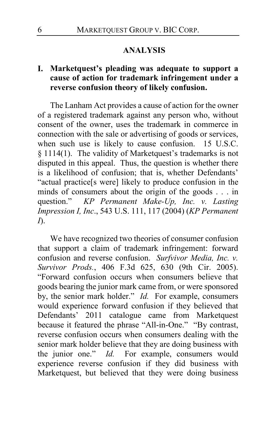#### **ANALYSIS**

# **Marketquest's pleading was adequate to support a cause of action for trademark infringement under a reverse confusion theory of likely confusion.**

The Lanham Act provides a cause of action for the owner of a registered trademark against any person who, without consent of the owner, uses the trademark in commerce in connection with the sale or advertising of goods or services, when such use is likely to cause confusion. 15 U.S.C. § 1114(1). The validity of Marketquest's trademarks is not disputed in this appeal. Thus, the question is whether there is a likelihood of confusion; that is, whether Defendants' "actual practice[s were] likely to produce confusion in the minds of consumers about the origin of the goods . . . in question." *KP Permanent Make-Up, Inc. v. Lasting Impression I, Inc*., 543 U.S. 111, 117 (2004) (*KP Permanent I*).

We have recognized two theories of consumer confusion that support a claim of trademark infringement: forward confusion and reverse confusion. *Surfvivor Media, Inc. v. Survivor Prods.*, 406 F.3d 625, 630 (9th Cir. 2005). "Forward confusion occurs when consumers believe that goods bearing the junior mark came from, or were sponsored by, the senior mark holder." *Id.* For example, consumers would experience forward confusion if they believed that Defendants' 2011 catalogue came from Marketquest because it featured the phrase "All-in-One." "By contrast, reverse confusion occurs when consumers dealing with the senior mark holder believe that they are doing business with the junior one." *Id.* For example, consumers would experience reverse confusion if they did business with Marketquest, but believed that they were doing business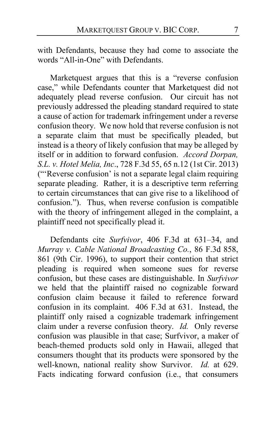with Defendants, because they had come to associate the words "All-in-One" with Defendants.

Marketquest argues that this is a "reverse confusion case," while Defendants counter that Marketquest did not adequately plead reverse confusion.Our circuit has not previously addressed the pleading standard required to state a cause of action for trademark infringement under a reverse confusion theory. We now hold that reverse confusion is not a separate claim that must be specifically pleaded, but instead is a theory of likely confusion that may be alleged by itself or in addition to forward confusion. *Accord Dorpan, S.L. v. Hotel Melia, Inc*., 728 F.3d 55, 65 n.12 (1st Cir. 2013) ("'Reverse confusion' is not a separate legal claim requiring separate pleading. Rather, it is a descriptive term referring to certain circumstances that can give rise to a likelihood of confusion.").Thus, when reverse confusion is compatible with the theory of infringement alleged in the complaint, a plaintiff need not specifically plead it.

Defendants cite *Surfvivor*, 406 F.3d at 631–34, and *Murray v. Cable National Broadcasting Co.*, 86 F.3d 858, 861 (9th Cir. 1996), to support their contention that strict pleading is required when someone sues for reverse confusion, but these cases are distinguishable. In *Surfvivor* we held that the plaintiff raised no cognizable forward confusion claim because it failed to reference forward confusion in its complaint. 406 F.3d at 631. Instead, the plaintiff only raised a cognizable trademark infringement claim under a reverse confusion theory. *Id.* Only reverse confusion was plausible in that case; Surfvivor, a maker of beach-themed products sold only in Hawaii, alleged that consumers thought that its products were sponsored by the well-known, national reality show Survivor. *Id.* at 629. Facts indicating forward confusion (i.e., that consumers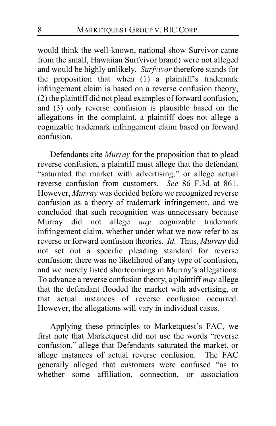would think the well-known, national show Survivor came from the small, Hawaiian Surfvivor brand) were not alleged and would be highly unlikely. *Surfvivor* therefore stands for the proposition that when (1) a plaintiff's trademark infringement claim is based on a reverse confusion theory, (2) the plaintiff did not plead examples of forward confusion, and (3) only reverse confusion is plausible based on the allegations in the complaint, a plaintiff does not allege a cognizable trademark infringement claim based on forward confusion.

Defendants cite *Murray* for the proposition that to plead reverse confusion, a plaintiff must allege that the defendant "saturated the market with advertising," or allege actual reverse confusion from customers. *See* 86 F.3d at 861. However, *Murray* was decided before we recognized reverse confusion as a theory of trademark infringement, and we concluded that such recognition was unnecessary because Murray did not allege *any* cognizable trademark infringement claim, whether under what we now refer to as reverse or forward confusion theories. *Id.* Thus, *Murray* did not set out a specific pleading standard for reverse confusion; there was no likelihood of any type of confusion, and we merely listed shortcomings in Murray's allegations. To advance a reverse confusion theory, a plaintiff *may* allege that the defendant flooded the market with advertising, or that actual instances of reverse confusion occurred. However, the allegations will vary in individual cases.

Applying these principles to Marketquest's FAC, we first note that Marketquest did not use the words "reverse confusion," allege that Defendants saturated the market, or allege instances of actual reverse confusion. The FAC generally alleged that customers were confused "as to whether some affiliation, connection, or association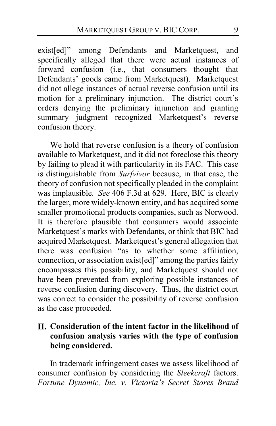exist[ed]" among Defendants and Marketquest, and specifically alleged that there were actual instances of forward confusion (i.e., that consumers thought that Defendants' goods came from Marketquest). Marketquest did not allege instances of actual reverse confusion until its motion for a preliminary injunction. The district court's orders denying the preliminary injunction and granting summary judgment recognized Marketquest's reverse confusion theory.

We hold that reverse confusion is a theory of confusion available to Marketquest, and it did not foreclose this theory by failing to plead it with particularity in its FAC. This case is distinguishable from *Surfvivor* because, in that case, the theory of confusion not specifically pleaded in the complaint was implausible. *See* 406 F.3d at 629. Here, BIC is clearly the larger, more widely-known entity, and has acquired some smaller promotional products companies, such as Norwood. It is therefore plausible that consumers would associate Marketquest's marks with Defendants, or think that BIC had acquired Marketquest. Marketquest's general allegation that there was confusion "as to whether some affiliation, connection, or association exist[ed]" among the parties fairly encompasses this possibility, and Marketquest should not have been prevented from exploring possible instances of reverse confusion during discovery. Thus, the district court was correct to consider the possibility of reverse confusion as the case proceeded.

# **Consideration of the intent factor in the likelihood of confusion analysis varies with the type of confusion being considered.**

In trademark infringement cases we assess likelihood of consumer confusion by considering the *Sleekcraft* factors. *Fortune Dynamic, Inc. v. Victoria's Secret Stores Brand*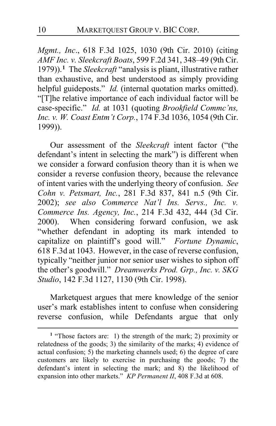*Mgmt., Inc*., 618 F.3d 1025, 1030 (9th Cir. 2010) (citing *AMF Inc. v. Sleekcraft Boats*, 599 F.2d 341, 348–49 (9th Cir. 1979)).**[1](#page-9-0)** The *Sleekcraft* "analysis is pliant, illustrative rather than exhaustive, and best understood as simply providing helpful guideposts." *Id.* (internal quotation marks omitted). "[T]he relative importance of each individual factor will be case-specific." *Id.* at 1031 (quoting *Brookfield Commc'ns, Inc. v. W. Coast Entm't Corp.*, 174 F.3d 1036, 1054 (9th Cir. 1999)).

Our assessment of the *Sleekcraft* intent factor ("the defendant's intent in selecting the mark") is different when we consider a forward confusion theory than it is when we consider a reverse confusion theory, because the relevance of intent varies with the underlying theory of confusion. *See Cohn v. Petsmart, Inc.*, 281 F.3d 837, 841 n.5 (9th Cir. 2002); *see also Commerce Nat'l Ins. Servs., Inc. v. Commerce Ins. Agency, Inc.*, 214 F.3d 432, 444 (3d Cir. 2000). When considering forward confusion, we ask "whether defendant in adopting its mark intended to capitalize on plaintiff's good will." *Fortune Dynamic*, 618 F.3d at 1043. However, in the case of reverse confusion, typically "neither junior nor senior user wishes to siphon off the other's goodwill." *Dreamwerks Prod. Grp., Inc. v. SKG Studio*, 142 F.3d 1127, 1130 (9th Cir. 1998).

Marketquest argues that mere knowledge of the senior user's mark establishes intent to confuse when considering reverse confusion, while Defendants argue that only

 $\overline{a}$ 

<span id="page-9-0"></span>**<sup>1</sup>** "Those factors are: 1) the strength of the mark; 2) proximity or relatedness of the goods; 3) the similarity of the marks; 4) evidence of actual confusion; 5) the marketing channels used; 6) the degree of care customers are likely to exercise in purchasing the goods; 7) the defendant's intent in selecting the mark; and 8) the likelihood of expansion into other markets." *KP Permanent II*, 408 F.3d at 608.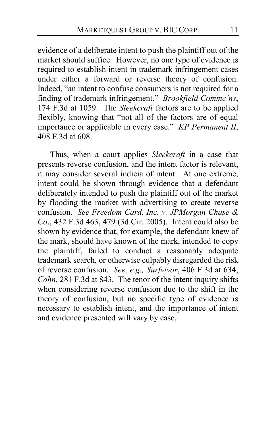evidence of a deliberate intent to push the plaintiff out of the market should suffice. However, no one type of evidence is required to establish intent in trademark infringement cases under either a forward or reverse theory of confusion. Indeed, "an intent to confuse consumers is not required for a finding of trademark infringement." *Brookfield Commc'ns*, 174 F.3d at 1059. The *Sleekcraft* factors are to be applied flexibly, knowing that "not all of the factors are of equal importance or applicable in every case." *KP Permanent II*, 408 F.3d at 608.

Thus, when a court applies *Sleekcraft* in a case that presents reverse confusion, and the intent factor is relevant, it may consider several indicia of intent. At one extreme, intent could be shown through evidence that a defendant deliberately intended to push the plaintiff out of the market by flooding the market with advertising to create reverse confusion. *See Freedom Card, Inc. v. JPMorgan Chase & Co*., 432 F.3d 463, 479 (3d Cir. 2005). Intent could also be shown by evidence that, for example, the defendant knew of the mark, should have known of the mark, intended to copy the plaintiff, failed to conduct a reasonably adequate trademark search, or otherwise culpably disregarded the risk of reverse confusion. *See, e.g., Surfvivor*, 406 F.3d at 634; *Cohn*, 281 F.3d at 843. The tenor of the intent inquiry shifts when considering reverse confusion due to the shift in the theory of confusion, but no specific type of evidence is necessary to establish intent, and the importance of intent and evidence presented will vary by case.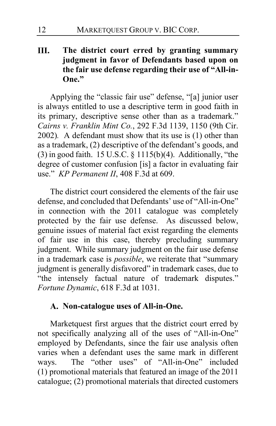#### III. **The district court erred by granting summary judgment in favor of Defendants based upon on the fair use defense regarding their use of "All-in-One."**

Applying the "classic fair use" defense, "[a] junior user is always entitled to use a descriptive term in good faith in its primary, descriptive sense other than as a trademark." *Cairns v. Franklin Mint Co.*, 292 F.3d 1139, 1150 (9th Cir. 2002)*.* A defendant must show that its use is (1) other than as a trademark, (2) descriptive of the defendant's goods, and (3) in good faith. 15 U.S.C.  $\S$  1115(b)(4). Additionally, "the degree of customer confusion [is] a factor in evaluating fair use." *KP Permanent II*, 408 F.3d at 609.

The district court considered the elements of the fair use defense, and concluded that Defendants' use of "All-in-One" in connection with the 2011 catalogue was completely protected by the fair use defense.As discussed below, genuine issues of material fact exist regarding the elements of fair use in this case, thereby precluding summary judgment. While summary judgment on the fair use defense in a trademark case is *possible*, we reiterate that "summary judgment is generally disfavored" in trademark cases, due to "the intensely factual nature of trademark disputes." *Fortune Dynamic*, 618 F.3d at 1031.

# A. Non-catalogue uses of All-in-One.

Marketquest first argues that the district court erred by not specifically analyzing all of the uses of "All-in-One" employed by Defendants, since the fair use analysis often varies when a defendant uses the same mark in different ways. The "other uses" of "All-in-One" included (1) promotional materials that featured an image of the 2011 catalogue; (2) promotional materials that directed customers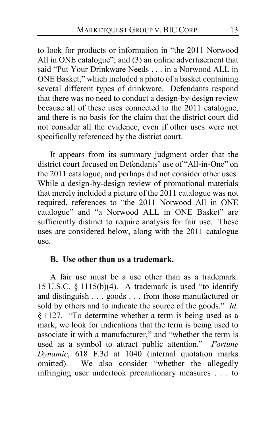to look for products or information in "the 2011 Norwood All in ONE catalogue"; and (3) an online advertisement that said "Put Your Drinkware Needs . . . in a Norwood ALL in ONE Basket," which included a photo of a basket containing several different types of drinkware. Defendants respond that there was no need to conduct a design-by-design review because all of these uses connected to the 2011 catalogue, and there is no basis for the claim that the district court did not consider all the evidence, even if other uses were not specifically referenced by the district court.

It appears from its summary judgment order that the district court focused on Defendants' use of "All-in-One" on the 2011 catalogue, and perhaps did not consider other uses. While a design-by-design review of promotional materials that merely included a picture of the 2011 catalogue was not required, references to "the 2011 Norwood All in ONE catalogue" and "a Norwood ALL in ONE Basket" are sufficiently distinct to require analysis for fair use. These uses are considered below, along with the 2011 catalogue use.

# **B.** Use other than as a trademark.

A fair use must be a use other than as a trademark. 15 U.S.C. § 1115(b)(4). A trademark is used "to identify and distinguish . . . goods . . . from those manufactured or sold by others and to indicate the source of the goods." *Id.* § 1127. "To determine whether a term is being used as a mark, we look for indications that the term is being used to associate it with a manufacturer," and "whether the term is used as a symbol to attract public attention." *Fortune Dynamic*, 618 F.3d at 1040 (internal quotation marks omitted). We also consider "whether the allegedly infringing user undertook precautionary measures . . . to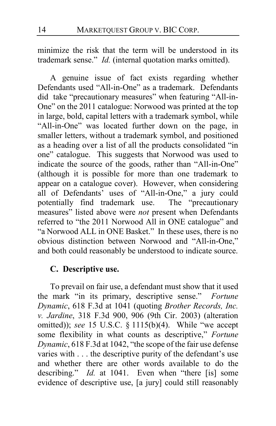minimize the risk that the term will be understood in its trademark sense." *Id.* (internal quotation marks omitted).

A genuine issue of fact exists regarding whether Defendants used "All-in-One" as a trademark. Defendants did take "precautionary measures" when featuring "All-in-One" on the 2011 catalogue: Norwood was printed at the top in large, bold, capital letters with a trademark symbol, while "All-in-One" was located further down on the page, in smaller letters, without a trademark symbol, and positioned as a heading over a list of all the products consolidated "in one" catalogue.This suggests that Norwood was used to indicate the source of the goods, rather than "All-in-One" (although it is possible for more than one trademark to appear on a catalogue cover). However, when considering all of Defendants' uses of "All-in-One," a jury could potentially find trademark use. The "precautionary measures" listed above were *not* present when Defendants referred to "the 2011 Norwood All in ONE catalogue" and "a Norwood ALL in ONE Basket." In these uses, there is no obvious distinction between Norwood and "All-in-One," and both could reasonably be understood to indicate source.

# C. Descriptive use.

To prevail on fair use, a defendant must show that it used the mark "in its primary, descriptive sense." *Fortune Dynamic*, 618 F.3d at 1041 (quoting *Brother Records, Inc. v. Jardine*, 318 F.3d 900, 906 (9th Cir. 2003) (alteration omitted)); *see* 15 U.S.C. § 1115(b)(4). While "we accept some flexibility in what counts as descriptive," *Fortune Dynamic*, 618 F.3d at 1042, "the scope of the fair use defense varies with . . . the descriptive purity of the defendant's use and whether there are other words available to do the describing." *Id.* at 1041.Even when "there [is] some evidence of descriptive use, [a jury] could still reasonably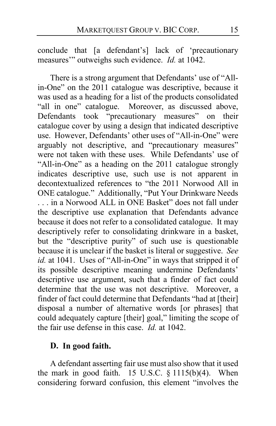conclude that [a defendant's] lack of 'precautionary measures'" outweighs such evidence. *Id.* at 1042.

There is a strong argument that Defendants' use of "Allin-One" on the 2011 catalogue was descriptive, because it was used as a heading for a list of the products consolidated "all in one" catalogue. Moreover, as discussed above, Defendants took "precautionary measures" on their catalogue cover by using a design that indicated descriptive use. However, Defendants' other uses of "All-in-One" were arguably not descriptive, and "precautionary measures" were not taken with these uses. While Defendants' use of "All-in-One" as a heading on the 2011 catalogue strongly indicates descriptive use, such use is not apparent in decontextualized references to "the 2011 Norwood All in ONE catalogue." Additionally, "Put Your Drinkware Needs . . . in a Norwood ALL in ONE Basket" does not fall under the descriptive use explanation that Defendants advance because it does not refer to a consolidated catalogue. It may descriptively refer to consolidating drinkware in a basket, but the "descriptive purity" of such use is questionable because it is unclear if the basket is literal or suggestive. *See id.* at 1041. Uses of "All-in-One" in ways that stripped it of its possible descriptive meaning undermine Defendants' descriptive use argument, such that a finder of fact could determine that the use was not descriptive. Moreover, a finder of fact could determine that Defendants "had at [their] disposal a number of alternative words [or phrases] that could adequately capture [their] goal," limiting the scope of the fair use defense in this case. *Id.* at 1042.

# D. In good faith.

A defendant asserting fair use must also show that it used the mark in good faith.  $15 \text{ U.S.C. }$  §  $1115(b)(4)$ . When considering forward confusion, this element "involves the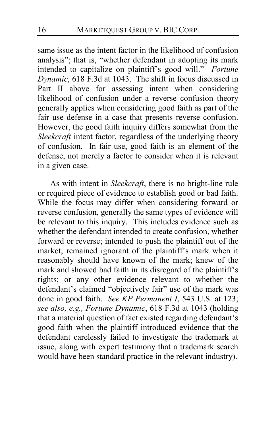same issue as the intent factor in the likelihood of confusion analysis"; that is, "whether defendant in adopting its mark intended to capitalize on plaintiff's good will." *Fortune Dynamic*, 618 F.3d at 1043. The shift in focus discussed in Part II above for assessing intent when considering likelihood of confusion under a reverse confusion theory generally applies when considering good faith as part of the fair use defense in a case that presents reverse confusion. However, the good faith inquiry differs somewhat from the *Sleekcraft* intent factor, regardless of the underlying theory of confusion. In fair use, good faith is an element of the defense, not merely a factor to consider when it is relevant in a given case.

As with intent in *Sleekcraft*, there is no bright-line rule or required piece of evidence to establish good or bad faith. While the focus may differ when considering forward or reverse confusion, generally the same types of evidence will be relevant to this inquiry. This includes evidence such as whether the defendant intended to create confusion, whether forward or reverse; intended to push the plaintiff out of the market; remained ignorant of the plaintiff's mark when it reasonably should have known of the mark; knew of the mark and showed bad faith in its disregard of the plaintiff's rights; or any other evidence relevant to whether the defendant's claimed "objectively fair" use of the mark was done in good faith. *See KP Permanent I*, 543 U.S. at 123; *see also, e.g., Fortune Dynamic*, 618 F.3d at 1043 (holding that a material question of fact existed regarding defendant's good faith when the plaintiff introduced evidence that the defendant carelessly failed to investigate the trademark at issue, along with expert testimony that a trademark search would have been standard practice in the relevant industry).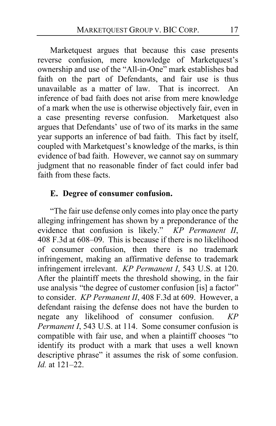Marketquest argues that because this case presents reverse confusion, mere knowledge of Marketquest's ownership and use of the "All-in-One" mark establishes bad faith on the part of Defendants, and fair use is thus unavailable as a matter of law. That is incorrect. An inference of bad faith does not arise from mere knowledge of a mark when the use is otherwise objectively fair, even in a case presenting reverse confusion. Marketquest also argues that Defendants' use of two of its marks in the same year supports an inference of bad faith. This fact by itself, coupled with Marketquest's knowledge of the marks, is thin evidence of bad faith. However, we cannot say on summary judgment that no reasonable finder of fact could infer bad faith from these facts.

### E. Degree of consumer confusion.

"The fair use defense only comes into play once the party alleging infringement has shown by a preponderance of the evidence that confusion is likely." *KP Permanent II*, 408 F.3d at 608–09. This is because if there is no likelihood of consumer confusion, then there is no trademark infringement, making an affirmative defense to trademark infringement irrelevant. *KP Permanent I*, 543 U.S. at 120. After the plaintiff meets the threshold showing, in the fair use analysis "the degree of customer confusion [is] a factor" to consider. *KP Permanent II*, 408 F.3d at 609. However, a defendant raising the defense does not have the burden to negate any likelihood of consumer confusion. *KP Permanent I*, 543 U.S. at 114. Some consumer confusion is compatible with fair use, and when a plaintiff chooses "to identify its product with a mark that uses a well known descriptive phrase" it assumes the risk of some confusion. *Id.* at 121–22.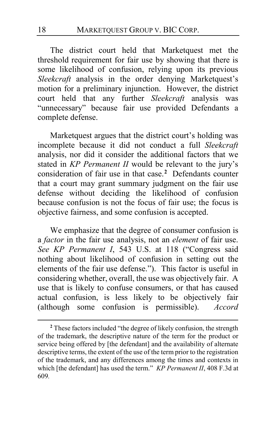The district court held that Marketquest met the threshold requirement for fair use by showing that there is some likelihood of confusion, relying upon its previous *Sleekcraft* analysis in the order denying Marketquest's motion for a preliminary injunction. However, the district court held that any further *Sleekcraft* analysis was "unnecessary" because fair use provided Defendants a complete defense.

Marketquest argues that the district court's holding was incomplete because it did not conduct a full *Sleekcraft*  analysis, nor did it consider the additional factors that we stated in *KP Permanent II* would be relevant to the jury's consideration of fair use in that case.**[2](#page-17-0)** Defendants counter that a court may grant summary judgment on the fair use defense without deciding the likelihood of confusion because confusion is not the focus of fair use; the focus is objective fairness, and some confusion is accepted.

We emphasize that the degree of consumer confusion is a *factor* in the fair use analysis, not an *element* of fair use. *See KP Permanent I*, 543 U.S. at 118 ("Congress said nothing about likelihood of confusion in setting out the elements of the fair use defense."). This factor is useful in considering whether, overall, the use was objectively fair. A use that is likely to confuse consumers, or that has caused actual confusion, is less likely to be objectively fair (although some confusion is permissible). *Accord* 

 $\overline{a}$ 

<span id="page-17-0"></span>**<sup>2</sup>** These factors included "the degree of likely confusion, the strength of the trademark, the descriptive nature of the term for the product or service being offered by [the defendant] and the availability of alternate descriptive terms, the extent of the use of the term prior to the registration of the trademark, and any differences among the times and contexts in which [the defendant] has used the term." *KP Permanent II*, 408 F.3d at 609*.*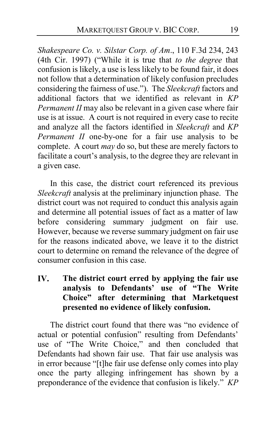*Shakespeare Co. v. Silstar Corp. of Am*., 110 F.3d 234, 243 (4th Cir. 1997) ("While it is true that *to the degree* that confusion is likely, a use is less likely to be found fair, it does not follow that a determination of likely confusion precludes considering the fairness of use."). The *Sleekcraft* factors and additional factors that we identified as relevant in *KP Permanent II* may also be relevant in a given case where fair use is at issue. A court is not required in every case to recite and analyze all the factors identified in *Sleekcraft* and *KP Permanent II* one-by-one for a fair use analysis to be complete. A court *may* do so, but these are merely factors to facilitate a court's analysis, to the degree they are relevant in a given case.

In this case, the district court referenced its previous *Sleekcraft* analysis at the preliminary injunction phase. The district court was not required to conduct this analysis again and determine all potential issues of fact as a matter of law before considering summary judgment on fair use. However, because we reverse summary judgment on fair use for the reasons indicated above, we leave it to the district court to determine on remand the relevance of the degree of consumer confusion in this case.

**The district court erred by applying the fair use**   $\mathbf{IV}_{\cdot}$ **analysis to Defendants' use of "The Write Choice" after determining that Marketquest presented no evidence of likely confusion.**

The district court found that there was "no evidence of actual or potential confusion" resulting from Defendants' use of "The Write Choice," and then concluded that Defendants had shown fair use. That fair use analysis was in error because "[t]he fair use defense only comes into play once the party alleging infringement has shown by a preponderance of the evidence that confusion is likely." *KP*